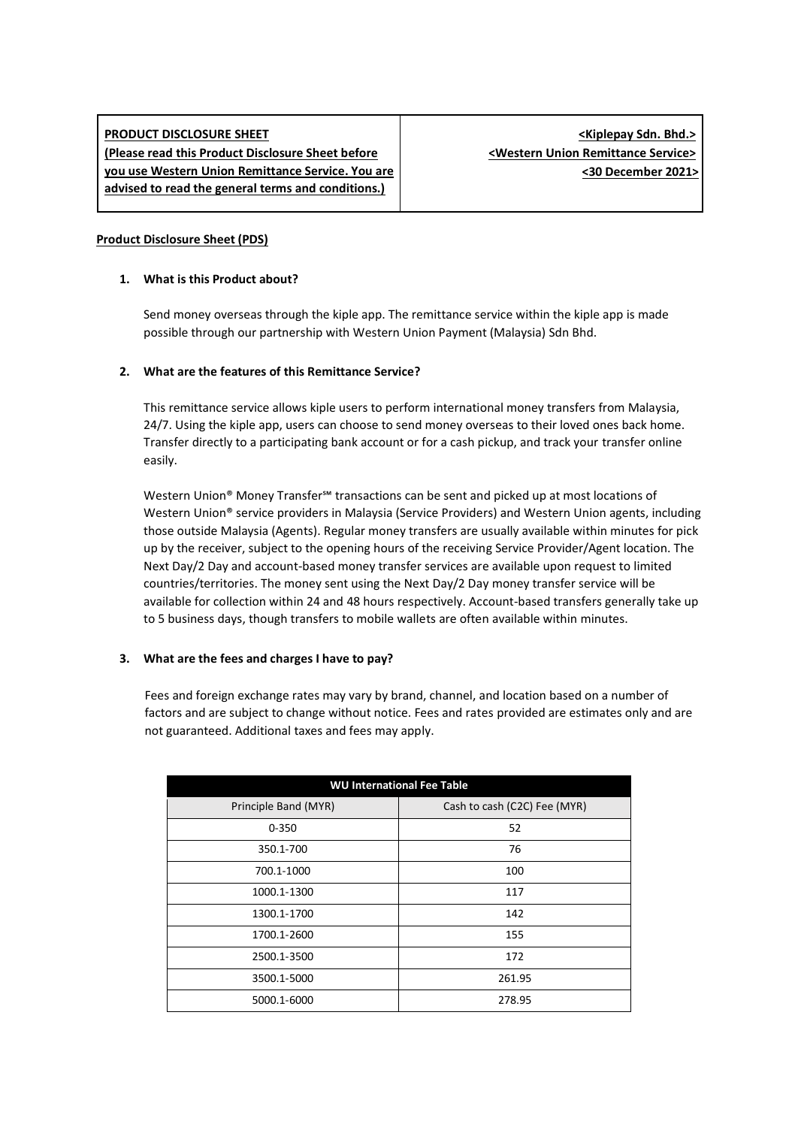# **PRODUCT DISCLOSURE SHEET (Please read this Product Disclosure Sheet before you use Western Union Remittance Service. You are advised to read the general terms and conditions.)**

## **Product Disclosure Sheet (PDS)**

## **1. What is this Product about?**

Send money overseas through the kiple app. The remittance service within the kiple app is made possible through our partnership with Western Union Payment (Malaysia) Sdn Bhd.

### **2. What are the features of this Remittance Service?**

This remittance service allows kiple users to perform international money transfers from Malaysia, 24/7. Using the kiple app, users can choose to send money overseas to their loved ones back home. Transfer directly to a participating bank account or for a cash pickup, and track your transfer online easily.

Western Union® Money Transfer<sup>sM</sup> transactions can be sent and picked up at most locations of Western Union® service providers in Malaysia (Service Providers) and Western Union agents, including those outside Malaysia (Agents). Regular money transfers are usually available within minutes for pick up by the receiver, subject to the opening hours of the receiving Service Provider/Agent location. The Next Day/2 Day and account-based money transfer services are available upon request to limited countries/territories. The money sent using the Next Day/2 Day money transfer service will be available for collection within 24 and 48 hours respectively. Account-based transfers generally take up to 5 business days, though transfers to mobile wallets are often available within minutes.

#### **3. What are the fees and charges I have to pay?**

Fees and foreign exchange rates may vary by brand, channel, and location based on a number of factors and are subject to change without notice. Fees and rates provided are estimates only and are not guaranteed. Additional taxes and fees may apply.

| <b>WU International Fee Table</b> |  |  |  |  |  |  |
|-----------------------------------|--|--|--|--|--|--|
| Cash to cash (C2C) Fee (MYR)      |  |  |  |  |  |  |
| 52                                |  |  |  |  |  |  |
| 76                                |  |  |  |  |  |  |
| 100                               |  |  |  |  |  |  |
| 117                               |  |  |  |  |  |  |
| 142                               |  |  |  |  |  |  |
| 155                               |  |  |  |  |  |  |
| 172                               |  |  |  |  |  |  |
| 261.95                            |  |  |  |  |  |  |
| 278.95                            |  |  |  |  |  |  |
|                                   |  |  |  |  |  |  |